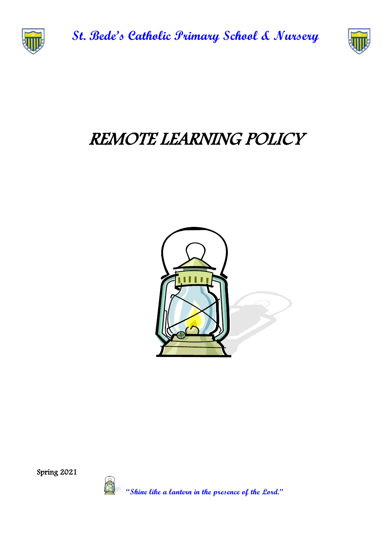

**St. Bede's Catholic Primary School & Nursery** 



# REMOTE LEARNING POLICY



Spring 2021

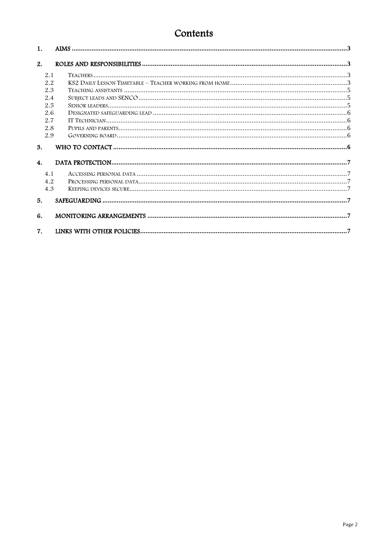# Contents

| 1.             |     |  |
|----------------|-----|--|
| 2.             |     |  |
|                | 2.1 |  |
|                | 2.2 |  |
|                | 2.3 |  |
|                | 2.4 |  |
|                | 2.5 |  |
|                | 2.6 |  |
|                | 2.7 |  |
|                | 2.8 |  |
|                | 2.9 |  |
| 3.             |     |  |
| 4.             |     |  |
|                | 4.1 |  |
|                | 4.2 |  |
|                | 4.3 |  |
| 5.             |     |  |
|                |     |  |
| 6.             |     |  |
| 7 <sub>1</sub> |     |  |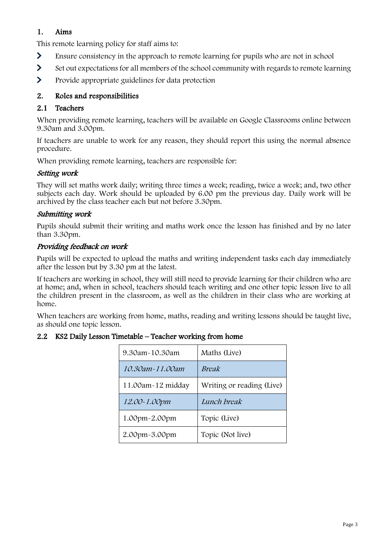# <span id="page-2-0"></span>1. Aims

This remote learning policy for staff aims to:

- $\blacktriangleright$ Ensure consistency in the approach to remote learning for pupils who are not in school
- $\blacktriangleright$ Set out expectations for all members of the school community with regards to remote learning
- $\blacktriangleright$ Provide appropriate guidelines for data protection

# <span id="page-2-1"></span>2. Roles and responsibilities

# <span id="page-2-2"></span>2.1 Teachers

When providing remote learning, teachers will be available on Google Classrooms online between 9.30am and 3.00pm.

If teachers are unable to work for any reason, they should report this using the normal absence procedure.

When providing remote learning, teachers are responsible for:

# Setting work

They will set maths work daily; writing three times a week; reading, twice a week; and, two other subjects each day. Work should be uploaded by 6.00 pm the previous day. Daily work will be archived by the class teacher each but not before 3.30pm.

# Submitting work

Pupils should submit their writing and maths work once the lesson has finished and by no later than 3.30pm.

# Providing feedback on work

Pupils will be expected to upload the maths and writing independent tasks each day immediately after the lesson but by 3.30 pm at the latest.

If teachers are working in school, they will still need to provide learning for their children who are at home; and, when in school, teachers should teach writing and one other topic lesson live to all the children present in the classroom, as well as the children in their class who are working at home.

When teachers are working from home, maths, reading and writing lessons should be taught live, as should one topic lesson.

<span id="page-2-3"></span>

|  |  |  | 2.2 KS2 Daily Lesson Timetable - Teacher working from home |  |  |  |  |
|--|--|--|------------------------------------------------------------|--|--|--|--|
|--|--|--|------------------------------------------------------------|--|--|--|--|

| 9.30am~10.30am    | Maths (Live)              |
|-------------------|---------------------------|
| 10.30am~11.00am   | <b>Break</b>              |
| 11.00am-12 midday | Writing or reading (Live) |
| 12.00~1.00pm      | Lunch break               |
| 1.00pm~2.00pm     | Topic (Live)              |
| 2.00pm~3.00pm     | Topic (Not live)          |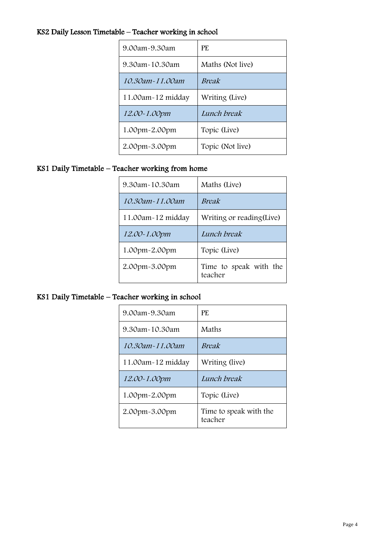# KS2 Daily Lesson Timetable – Teacher working in school

| 9.00am~9.30am     | PF.              |
|-------------------|------------------|
| 9.30am~10.30am    | Maths (Not live) |
| 10.30am~11.00am   | Break            |
| 11.00am-12 midday | Writing (Live)   |
| 12.00~1.00pm      | Lunch break      |
| 1.00pm~2.00pm     | Topic (Live)     |
| 2.00pm-3.00pm     | Topic (Not live) |

# KS1 Daily Timetable – Teacher working from home

| 9.30am~10.30am    | Maths (Live)                      |
|-------------------|-----------------------------------|
| 10.30am~11.00am   | <i>Break</i>                      |
| 11.00am-12 midday | Writing or reading (Live)         |
| 12.00~1.00pm      | Lunch break                       |
| 1.00pm~2.00pm     | Topic (Live)                      |
| 2.00pm~3.00pm     | Time to speak with the<br>teacher |

# KS1 Daily Timetable – Teacher working in school

| 9.00am~9.30am       | PF.                               |  |  |
|---------------------|-----------------------------------|--|--|
| 9.30am~10.30am      | Maths                             |  |  |
| 10.30am~11.00am     | <i>Break</i>                      |  |  |
| 11.00am-12 midday   | Writing (live)                    |  |  |
| <i>12.00~1.00pm</i> | Lunch break                       |  |  |
| 1.00pm~2.00pm       | Topic (Live)                      |  |  |
| 2.00pm~3.00pm       | Time to speak with the<br>teacher |  |  |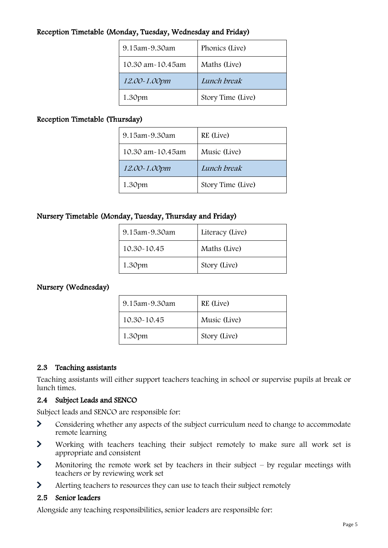# Reception Timetable (Monday, Tuesday, Wednesday and Friday)

| 9.15am~9.30am    | Phonics (Live)    |
|------------------|-------------------|
| 10.30 am~10.45am | Maths (Live)      |
| 12.00~1.00pm     | Lunch break       |
| 1.30pm           | Story Time (Live) |

# Reception Timetable (Thursday)

| 9.15am-9.30am    | RE (Live)         |
|------------------|-------------------|
| 10.30 am~10.45am | Music (Live)      |
| 12.00~1.00pm     | Lunch break       |
| 1.30pm           | Story Time (Live) |

# Nursery Timetable (Monday, Tuesday, Thursday and Friday)

| 9.15am-9.30am | Literacy (Live) |
|---------------|-----------------|
| 10.30~10.45   | Maths (Live)    |
| 1.30pm        | Story (Live)    |

# Nursery (Wednesday)

| 9.15am~9.30am | RE (Live)    |
|---------------|--------------|
| 10.30~10.45   | Music (Live) |
| 1.30pm        | Story (Live) |

# <span id="page-4-0"></span>2.3 Teaching assistants

Teaching assistants will either support teachers teaching in school or supervise pupils at break or lunch times.

#### <span id="page-4-1"></span>2.4 Subject Leads and SENCO

Subject leads and SENCO are responsible for:

- $\blacktriangleright$ Considering whether any aspects of the subject curriculum need to change to accommodate remote learning
- $\blacktriangleright$ Working with teachers teaching their subject remotely to make sure all work set is appropriate and consistent
- $\blacktriangleright$ Monitoring the remote work set by teachers in their subject  $-$  by regular meetings with teachers or by reviewing work set
- $\blacktriangleright$ Alerting teachers to resources they can use to teach their subject remotely

#### <span id="page-4-2"></span>2.5 Senior leaders

Alongside any teaching responsibilities, senior leaders are responsible for: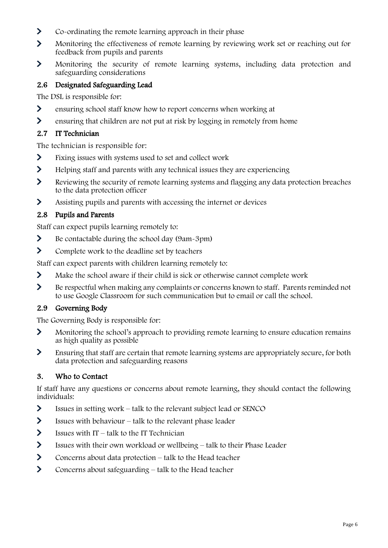- $\blacktriangleright$ Co-ordinating the remote learning approach in their phase
- $\overline{\phantom{0}}$ Monitoring the effectiveness of remote learning by reviewing work set or reaching out for feedback from pupils and parents
- $\blacktriangleright$ Monitoring the security of remote learning systems, including data protection and safeguarding considerations

# <span id="page-5-0"></span>2.6 Designated Safeguarding Lead

The DSL is responsible for:

- $\blacktriangleright$ ensuring school staff know how to report concerns when working at
- $\sum$ ensuring that children are not put at risk by logging in remotely from home

# <span id="page-5-1"></span>2.7 IT Technician

The technician is responsible for:

- $\blacktriangleright$ Fixing issues with systems used to set and collect work
- $\sum$ Helping staff and parents with any technical issues they are experiencing
- $\blacktriangleright$ Reviewing the security of remote learning systems and flagging any data protection breaches to the data protection officer
- $\blacktriangleright$ Assisting pupils and parents with accessing the internet or devices

# <span id="page-5-2"></span>2.8 Pupils and Parents

Staff can expect pupils learning remotely to:

- $\blacktriangleright$ Be contactable during the school day (9am-3pm)
- $\blacktriangleright$ Complete work to the deadline set by teachers

Staff can expect parents with children learning remotely to:

- $\sum$ Make the school aware if their child is sick or otherwise cannot complete work
- $\blacktriangleright$ Be respectful when making any complaints or concerns known to staff. Parents reminded not to use Google Classroom for such communication but to email or call the school.

# <span id="page-5-3"></span>2.9 Governing Body

The Governing Body is responsible for:

- $\blacktriangleright$ Monitoring the school's approach to providing remote learning to ensure education remains as high quality as possible
- $\blacktriangleright$ Ensuring that staff are certain that remote learning systems are appropriately secure, for both data protection and safeguarding reasons

# <span id="page-5-4"></span>3. Who to Contact

If staff have any questions or concerns about remote learning, they should contact the following individuals:

- $\sum$ Issues in setting work – talk to the relevant subject lead or SENCO
- $\sum$ Issues with behaviour – talk to the relevant phase leader
- $\blacktriangleright$ Issues with  $IT - talk$  to the IT Technician
- $\blacktriangleright$ Issues with their own workload or wellbeing – talk to their Phase Leader
- $\sum_{i=1}^{n}$ Concerns about data protection – talk to the Head teacher
- $\sum$ Concerns about safeguarding – talk to the Head teacher